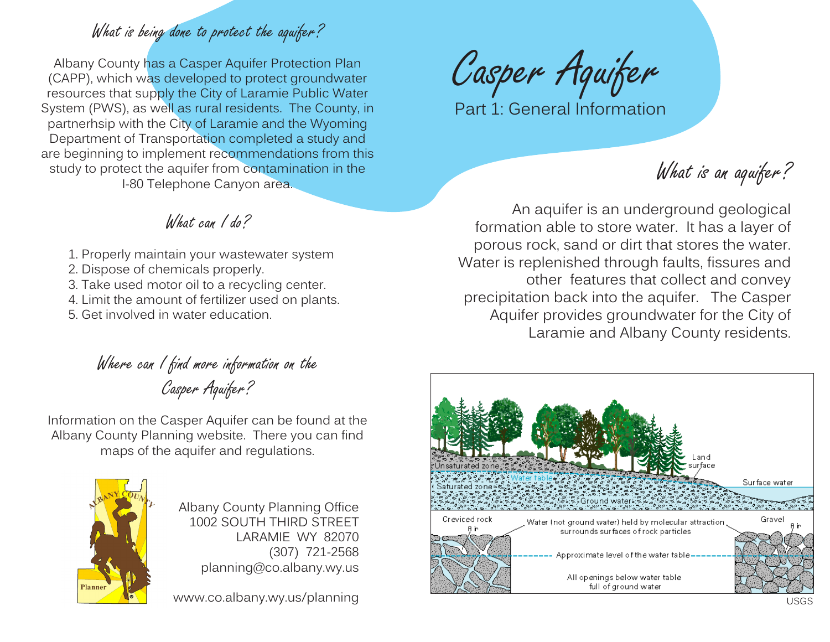## What is being done to protect the aquifer?

Albany County has a Casper Aquifer Protection Plan (CAPP), which was developed to protect groundwater resources that supply the City of Laramie Public Water System (PWS), as well as rural residents. The County, in partnerhsip with the City of Laramie and the Wyoming Department of Transportation completed a study and are beginning to implement recommendations from this study to protect the aquifer from contamination in the I-80 Telephone Canyon area.

Casper Aquifer

Part 1: General Information

What is an aquifer?

An aquifer is an underground geological formation able to store water. It has a layer of porous rock, sand or dirt that stores the water. Water is replenished through faults, fissures and other features that collect and convey precipitation back into the aquifer. The Casper Aquifer provides groundwater for the City of Laramie and Albany County residents.



## What can I do?

- 1. Properly maintain your wastewater system
- 2. Dispose of chemicals properly.
- 3. Take used motor oil to a recycling center.
- 4. Limit the amount of fertilizer used on plants.
- 5. Get involved in water education.

Where can I find more information on the

Casper Aquifer?

Information on the Casper Aquifer can be found at the Albany County Planning website. There you can find maps of the aquifer and regulations.



Albany County Planning Office 1002 SOUTH THIRD STREET LARAMIE WY 82070 (307) 721-2568 planning@co.albany.wy.us

www.co.albany.wy.us/planning USGS